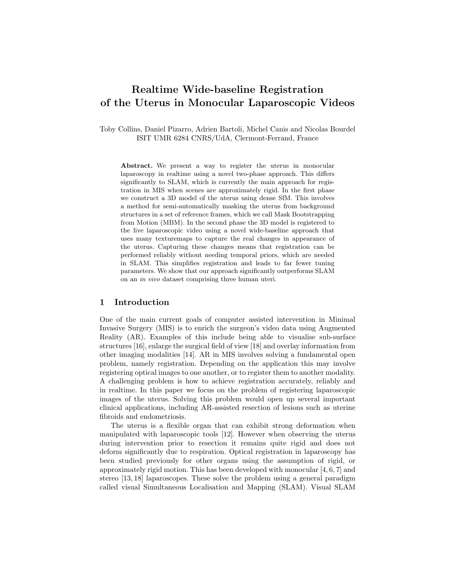# Realtime Wide-baseline Registration of the Uterus in Monocular Laparoscopic Videos

Toby Collins, Daniel Pizarro, Adrien Bartoli, Michel Canis and Nicolas Bourdel ISIT UMR 6284 CNRS/UdA, Clermont-Ferrand, France

Abstract. We present a way to register the uterus in monocular laparoscopy in realtime using a novel two-phase approach. This differs significantly to SLAM, which is currently the main approach for registration in MIS when scenes are approximately rigid. In the first phase we construct a 3D model of the uterus using dense SfM. This involves a method for semi-automatically masking the uterus from background structures in a set of reference frames, which we call Mask Bootstrapping from Motion (MBM). In the second phase the 3D model is registered to the live laparoscopic video using a novel wide-baseline approach that uses many texturemaps to capture the real changes in appearance of the uterus. Capturing these changes means that registration can be performed reliably without needing temporal priors, which are needed in SLAM. This simplifies registration and leads to far fewer tuning parameters. We show that our approach significantly outperforms SLAM on an in vivo dataset comprising three human uteri.

## 1 Introduction

One of the main current goals of computer assisted intervention in Minimal Invasive Surgery (MIS) is to enrich the surgeon's video data using Augmented Reality (AR). Examples of this include being able to visualise sub-surface structures [16], enlarge the surgical field of view [18] and overlay information from other imaging modalities [14]. AR in MIS involves solving a fundamental open problem, namely registration. Depending on the application this may involve registering optical images to one another, or to register them to another modality. A challenging problem is how to achieve registration accurately, reliably and in realtime. In this paper we focus on the problem of registering laparoscopic images of the uterus. Solving this problem would open up several important clinical applications, including AR-assisted resection of lesions such as uterine fibroids and endometriosis.

The uterus is a flexible organ that can exhibit strong deformation when manipulated with laparoscopic tools [12]. However when observing the uterus during intervention prior to resection it remains quite rigid and does not deform significantly due to respiration. Optical registration in laparoscopy has been studied previously for other organs using the assumption of rigid, or approximately rigid motion. This has been developed with monocular  $[4, 6, 7]$  and stereo [13, 18] laparoscopes. These solve the problem using a general paradigm called visual Simultaneous Localisation and Mapping (SLAM). Visual SLAM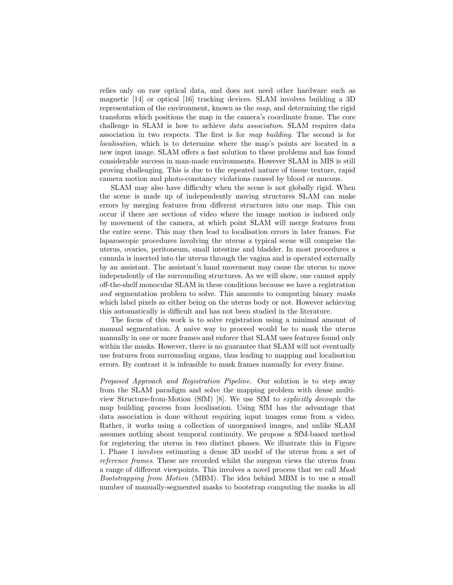relies only on raw optical data, and does not need other hardware such as magnetic [14] or optical [16] tracking devices. SLAM involves building a 3D representation of the environment, known as the map, and determining the rigid transform which positions the map in the camera's coordinate frame. The core challenge in SLAM is how to achieve data association. SLAM requires data association in two respects. The first is for map building. The second is for localisation, which is to determine where the map's points are located in a new input image. SLAM offers a fast solution to these problems and has found considerable success in man-made environments. However SLAM in MIS is still proving challenging. This is due to the repeated nature of tissue texture, rapid camera motion and photo-constancy violations caused by blood or mucous.

SLAM may also have difficulty when the scene is not globally rigid. When the scene is made up of independently moving structures SLAM can make errors by merging features from different structures into one map. This can occur if there are sections of video where the image motion is induced only by movement of the camera, at which point SLAM will merge features from the entire scene. This may then lead to localisation errors in later frames. For laparoscopic procedures involving the uterus a typical scene will comprise the uterus, ovaries, peritoneum, small intestine and bladder. In most procedures a cannula is inserted into the uterus through the vagina and is operated externally by an assistant. The assistant's hand movement may cause the uterus to move independently of the surrounding structures. As we will show, one cannot apply off-the-shelf monocular SLAM in these conditions because we have a registration and segmentation problem to solve. This amounts to computing binary masks which label pixels as either being on the uterus body or not. However achieving this automatically is difficult and has not been studied in the literature.

The focus of this work is to solve registration using a minimal amount of manual segmentation. A naive way to proceed would be to mask the uterus manually in one or more frames and enforce that SLAM uses features found only within the masks. However, there is no guarantee that SLAM will not eventually use features from surrounding organs, thus leading to mapping and localisation errors. By contrast it is infeasible to mask frames manually for every frame.

Proposed Approach and Registration Pipeline. Our solution is to step away from the SLAM paradigm and solve the mapping problem with dense multiview Structure-from-Motion (SfM) [8]. We use SfM to explicitly decouple the map building process from localisation. Using SfM has the advantage that data association is done without requiring input images come from a video. Rather, it works using a collection of unorganised images, and unlike SLAM assumes nothing about temporal continuity. We propose a SfM-based method for registering the uterus in two distinct phases. We illustrate this in Figure 1. Phase 1 involves estimating a dense 3D model of the uterus from a set of reference frames. These are recorded whilst the surgeon views the uterus from a range of different viewpoints. This involves a novel process that we call Mask Bootstrapping from Motion (MBM). The idea behind MBM is to use a small number of manually-segmented masks to bootstrap computing the masks in all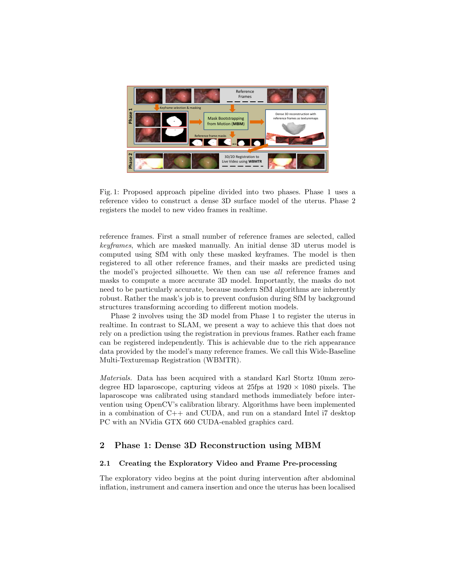

Fig. 1: Proposed approach pipeline divided into two phases. Phase 1 uses a reference video to construct a dense 3D surface model of the uterus. Phase 2 registers the model to new video frames in realtime.

reference frames. First a small number of reference frames are selected, called keyframes, which are masked manually. An initial dense 3D uterus model is computed using SfM with only these masked keyframes. The model is then registered to all other reference frames, and their masks are predicted using the model's projected silhouette. We then can use all reference frames and masks to compute a more accurate 3D model. Importantly, the masks do not need to be particularly accurate, because modern SfM algorithms are inherently robust. Rather the mask's job is to prevent confusion during SfM by background structures transforming according to different motion models.

Phase 2 involves using the 3D model from Phase 1 to register the uterus in realtime. In contrast to SLAM, we present a way to achieve this that does not rely on a prediction using the registration in previous frames. Rather each frame can be registered independently. This is achievable due to the rich appearance data provided by the model's many reference frames. We call this Wide-Baseline Multi-Texturemap Registration (WBMTR).

Materials. Data has been acquired with a standard Karl Stortz 10mm zerodegree HD laparoscope, capturing videos at  $25$ fps at  $1920 \times 1080$  pixels. The laparoscope was calibrated using standard methods immediately before intervention using OpenCV's calibration library. Algorithms have been implemented in a combination of C++ and CUDA, and run on a standard Intel i7 desktop PC with an NVidia GTX 660 CUDA-enabled graphics card.

# 2 Phase 1: Dense 3D Reconstruction using MBM

### 2.1 Creating the Exploratory Video and Frame Pre-processing

The exploratory video begins at the point during intervention after abdominal inflation, instrument and camera insertion and once the uterus has been localised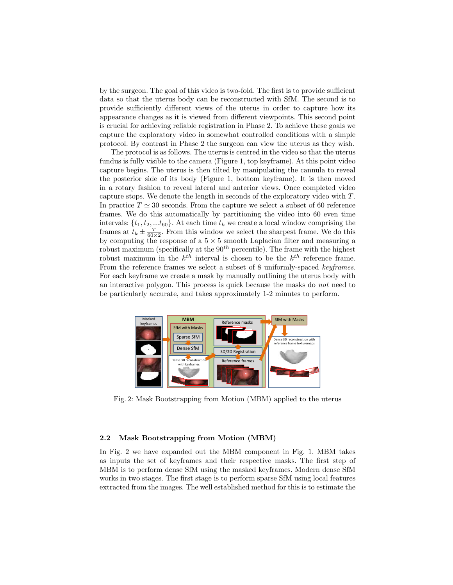by the surgeon. The goal of this video is two-fold. The first is to provide sufficient data so that the uterus body can be reconstructed with SfM. The second is to provide sufficiently different views of the uterus in order to capture how its appearance changes as it is viewed from different viewpoints. This second point is crucial for achieving reliable registration in Phase 2. To achieve these goals we capture the exploratory video in somewhat controlled conditions with a simple protocol. By contrast in Phase 2 the surgeon can view the uterus as they wish.

The protocol is as follows. The uterus is centred in the video so that the uterus fundus is fully visible to the camera (Figure 1, top keyframe). At this point video capture begins. The uterus is then tilted by manipulating the cannula to reveal the posterior side of its body (Figure 1, bottom keyframe). It is then moved in a rotary fashion to reveal lateral and anterior views. Once completed video capture stops. We denote the length in seconds of the exploratory video with T. In practice  $T \simeq 30$  seconds. From the capture we select a subset of 60 reference frames. We do this automatically by partitioning the video into 60 even time intervals:  $\{t_1, t_2, \ldots t_{60}\}$ . At each time  $t_k$  we create a local window comprising the frames at  $t_k \pm \frac{T}{60 \times 2}$ . From this window we select the sharpest frame. We do this by computing the response of a  $5 \times 5$  smooth Laplacian filter and measuring a robust maximum (specifically at the  $90<sup>th</sup>$  percentile). The frame with the highest robust maximum in the  $k^{th}$  interval is chosen to be the  $k^{th}$  reference frame. From the reference frames we select a subset of 8 uniformly-spaced keyframes. For each keyframe we create a mask by manually outlining the uterus body with an interactive polygon. This process is quick because the masks do not need to be particularly accurate, and takes approximately 1-2 minutes to perform.



Fig. 2: Mask Bootstrapping from Motion (MBM) applied to the uterus

#### 2.2 Mask Bootstrapping from Motion (MBM)

In Fig. 2 we have expanded out the MBM component in Fig. 1. MBM takes as inputs the set of keyframes and their respective masks. The first step of MBM is to perform dense SfM using the masked keyframes. Modern dense SfM works in two stages. The first stage is to perform sparse SfM using local features extracted from the images. The well established method for this is to estimate the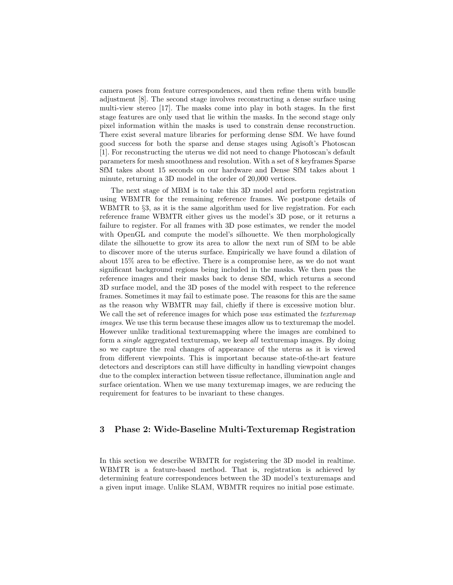camera poses from feature correspondences, and then refine them with bundle adjustment [8]. The second stage involves reconstructing a dense surface using multi-view stereo [17]. The masks come into play in both stages. In the first stage features are only used that lie within the masks. In the second stage only pixel information within the masks is used to constrain dense reconstruction. There exist several mature libraries for performing dense SfM. We have found good success for both the sparse and dense stages using Agisoft's Photoscan [1]. For reconstructing the uterus we did not need to change Photoscan's default parameters for mesh smoothness and resolution. With a set of 8 keyframes Sparse SfM takes about 15 seconds on our hardware and Dense SfM takes about 1 minute, returning a 3D model in the order of 20,000 vertices.

The next stage of MBM is to take this 3D model and perform registration using WBMTR for the remaining reference frames. We postpone details of WBMTR to  $\S$ 3, as it is the same algorithm used for live registration. For each reference frame WBMTR either gives us the model's 3D pose, or it returns a failure to register. For all frames with 3D pose estimates, we render the model with OpenGL and compute the model's silhouette. We then morphologically dilate the silhouette to grow its area to allow the next run of SfM to be able to discover more of the uterus surface. Empirically we have found a dilation of about 15% area to be effective. There is a compromise here, as we do not want significant background regions being included in the masks. We then pass the reference images and their masks back to dense SfM, which returns a second 3D surface model, and the 3D poses of the model with respect to the reference frames. Sometimes it may fail to estimate pose. The reasons for this are the same as the reason why WBMTR may fail, chiefly if there is excessive motion blur. We call the set of reference images for which pose was estimated the *texturemap* images. We use this term because these images allow us to texturemap the model. However unlike traditional texturemapping where the images are combined to form a single aggregated texturemap, we keep all texturemap images. By doing so we capture the real changes of appearance of the uterus as it is viewed from different viewpoints. This is important because state-of-the-art feature detectors and descriptors can still have difficulty in handling viewpoint changes due to the complex interaction between tissue reflectance, illumination angle and surface orientation. When we use many texturemap images, we are reducing the requirement for features to be invariant to these changes.

# 3 Phase 2: Wide-Baseline Multi-Texturemap Registration

In this section we describe WBMTR for registering the 3D model in realtime. WBMTR is a feature-based method. That is, registration is achieved by determining feature correspondences between the 3D model's texturemaps and a given input image. Unlike SLAM, WBMTR requires no initial pose estimate.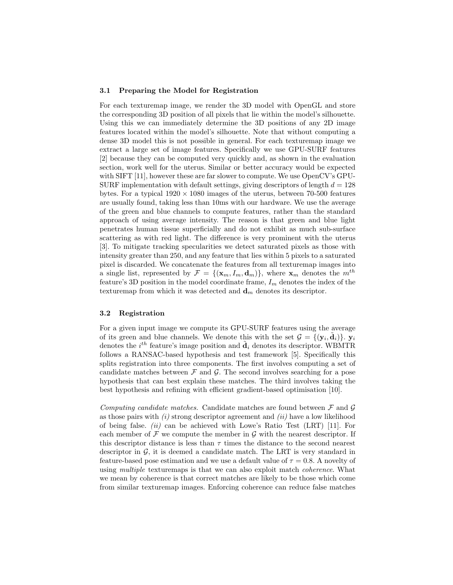#### 3.1 Preparing the Model for Registration

For each texturemap image, we render the 3D model with OpenGL and store the corresponding 3D position of all pixels that lie within the model's silhouette. Using this we can immediately determine the 3D positions of any 2D image features located within the model's silhouette. Note that without computing a dense 3D model this is not possible in general. For each texturemap image we extract a large set of image features. Specifically we use GPU-SURF features [2] because they can be computed very quickly and, as shown in the evaluation section, work well for the uterus. Similar or better accuracy would be expected with SIFT [11], however these are far slower to compute. We use OpenCV's GPU-SURF implementation with default settings, giving descriptors of length  $d = 128$ bytes. For a typical  $1920 \times 1080$  images of the uterus, between 70-500 features are usually found, taking less than 10ms with our hardware. We use the average of the green and blue channels to compute features, rather than the standard approach of using average intensity. The reason is that green and blue light penetrates human tissue superficially and do not exhibit as much sub-surface scattering as with red light. The difference is very prominent with the uterus [3]. To mitigate tracking specularities we detect saturated pixels as those with intensity greater than 250, and any feature that lies within 5 pixels to a saturated pixel is discarded. We concatenate the features from all texturemap images into a single list, represented by  $\mathcal{F} = \{(\mathbf{x}_m, I_m, \mathbf{d}_m)\}\$ , where  $\mathbf{x}_m$  denotes the  $m^{th}$ feature's 3D position in the model coordinate frame,  $I_m$  denotes the index of the texturemap from which it was detected and  $\mathbf{d}_m$  denotes its descriptor.

#### 3.2 Registration

For a given input image we compute its GPU-SURF features using the average of its green and blue channels. We denote this with the set  $\mathcal{G} = \{(\mathbf{y}_i, \tilde{\mathbf{d}}_i)\}\$ .  $\mathbf{y}_i$ denotes the  $i^{th}$  feature's image position and  $\tilde{\mathbf{d}}_i$  denotes its descriptor. WBMTR follows a RANSAC-based hypothesis and test framework [5]. Specifically this splits registration into three components. The first involves computing a set of candidate matches between  $\mathcal F$  and  $\mathcal G$ . The second involves searching for a pose hypothesis that can best explain these matches. The third involves taking the best hypothesis and refining with efficient gradient-based optimisation [10].

Computing candidate matches. Candidate matches are found between  $\mathcal F$  and  $\mathcal G$ as those pairs with  $(i)$  strong descriptor agreement and  $(ii)$  have a low likelihood of being false. (ii) can be achieved with Lowe's Ratio Test  $(LRT)$  [11]. For each member of  $\mathcal F$  we compute the member in  $\mathcal G$  with the nearest descriptor. If this descriptor distance is less than  $\tau$  times the distance to the second nearest descriptor in  $\mathcal{G}$ , it is deemed a candidate match. The LRT is very standard in feature-based pose estimation and we use a default value of  $\tau = 0.8$ . A novelty of using *multiple* texturemaps is that we can also exploit match *coherence*. What we mean by coherence is that correct matches are likely to be those which come from similar texturemap images. Enforcing coherence can reduce false matches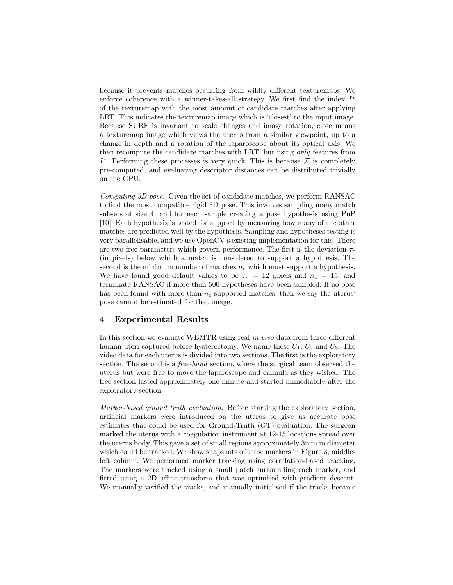because it prevents matches occurring from wildly different texturemaps. We enforce coherence with a winner-takes-all strategy. We first find the index I<sup>\*</sup> of the texturemap with the most amount of candidate matches after applying LRT. This indicates the texturemap image which is 'closest' to the input image. Because SURF is invariant to scale changes and image rotation, close means a texturemap image which views the uterus from a similar viewpoint, up to a change in depth and a rotation of the laparoscope about its optical axis. We then recompute the candidate matches with LRT, but using only features from  $I^*$ . Performing these processes is very quick. This is because  $\mathcal F$  is completely pre-computed, and evaluating descriptor distances can be distributed trivially on the GPU.

Computing 3D pose. Given the set of candidate matches, we perform RANSAC to find the most compatible rigid 3D pose. This involves sampling many match subsets of size 4, and for each sample creating a pose hypothesis using PnP [10]. Each hypothesis is tested for support by measuring how many of the other matches are predicted well by the hypothesis. Sampling and hypotheses testing is very parallelisable, and we use OpenCV's existing implementation for this. There are two free parameters which govern performance. The first is the deviation  $\tau_r$ (in pixels) below which a match is considered to support a hypothesis. The second is the minimum number of matches  $n_c$  which must support a hypothesis. We have found good default values to be  $\tau_r = 12$  pixels and  $n_c = 15$ , and terminate RANSAC if more than 500 hypotheses have been sampled. If no pose has been found with more than  $n_c$  supported matches, then we say the uterus' pose cannot be estimated for that image.

# 4 Experimental Results

In this section we evaluate WBMTR using real in vivo data from three different human uteri captured before hysterectomy. We name these  $U_1$ ,  $U_2$  and  $U_3$ . The video data for each uterus is divided into two sections. The first is the exploratory section. The second is a *free-hand* section, where the surgical team observed the uterus but were free to move the laparoscope and cannula as they wished. The free section lasted approximately one minute and started immediately after the exploratory section.

Marker-based ground truth evaluation. Before starting the exploratory section, artificial markers were introduced on the uterus to give us accurate pose estimates that could be used for Ground-Truth (GT) evaluation. The surgeon marked the uterus with a coagulation instrument at 12-15 locations spread over the uterus body. This gave a set of small regions approximately 3mm in diameter which could be tracked. We show snapshots of these markers in Figure 3, middleleft column. We performed marker tracking using correlation-based tracking. The markers were tracked using a small patch surrounding each marker, and fitted using a 2D affine transform that was optimised with gradient descent. We manually verified the tracks, and manually initialised if the tracks became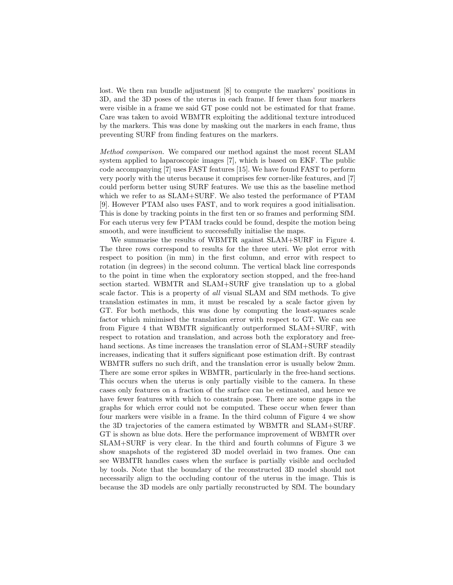lost. We then ran bundle adjustment [8] to compute the markers' positions in 3D, and the 3D poses of the uterus in each frame. If fewer than four markers were visible in a frame we said GT pose could not be estimated for that frame. Care was taken to avoid WBMTR exploiting the additional texture introduced by the markers. This was done by masking out the markers in each frame, thus preventing SURF from finding features on the markers.

Method comparison. We compared our method against the most recent SLAM system applied to laparoscopic images [7], which is based on EKF. The public code accompanying [7] uses FAST features [15]. We have found FAST to perform very poorly with the uterus because it comprises few corner-like features, and [7] could perform better using SURF features. We use this as the baseline method which we refer to as SLAM+SURF. We also tested the performance of PTAM [9]. However PTAM also uses FAST, and to work requires a good initialisation. This is done by tracking points in the first ten or so frames and performing SfM. For each uterus very few PTAM tracks could be found, despite the motion being smooth, and were insufficient to successfully initialise the maps.

We summarise the results of WBMTR against SLAM+SURF in Figure 4. The three rows correspond to results for the three uteri. We plot error with respect to position (in mm) in the first column, and error with respect to rotation (in degrees) in the second column. The vertical black line corresponds to the point in time when the exploratory section stopped, and the free-hand section started. WBMTR and SLAM+SURF give translation up to a global scale factor. This is a property of all visual SLAM and SfM methods. To give translation estimates in mm, it must be rescaled by a scale factor given by GT. For both methods, this was done by computing the least-squares scale factor which minimised the translation error with respect to GT. We can see from Figure 4 that WBMTR significantly outperformed SLAM+SURF, with respect to rotation and translation, and across both the exploratory and freehand sections. As time increases the translation error of  $SLAM+SURF$  steadily increases, indicating that it suffers significant pose estimation drift. By contrast WBMTR suffers no such drift, and the translation error is usually below 2mm. There are some error spikes in WBMTR, particularly in the free-hand sections. This occurs when the uterus is only partially visible to the camera. In these cases only features on a fraction of the surface can be estimated, and hence we have fewer features with which to constrain pose. There are some gaps in the graphs for which error could not be computed. These occur when fewer than four markers were visible in a frame. In the third column of Figure 4 we show the 3D trajectories of the camera estimated by WBMTR and SLAM+SURF. GT is shown as blue dots. Here the performance improvement of WBMTR over SLAM+SURF is very clear. In the third and fourth columns of Figure 3 we show snapshots of the registered 3D model overlaid in two frames. One can see WBMTR handles cases when the surface is partially visible and occluded by tools. Note that the boundary of the reconstructed 3D model should not necessarily align to the occluding contour of the uterus in the image. This is because the 3D models are only partially reconstructed by SfM. The boundary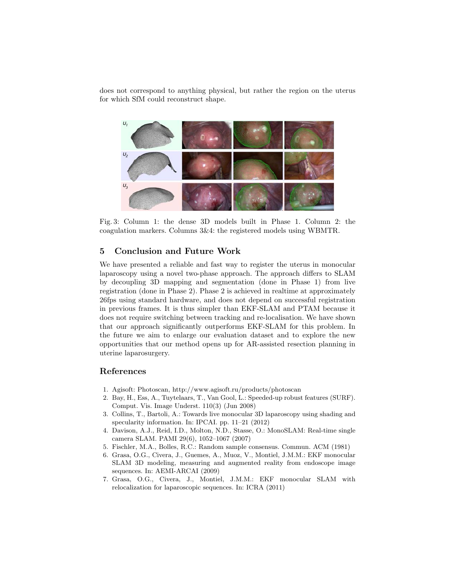does not correspond to anything physical, but rather the region on the uterus for which SfM could reconstruct shape.



Fig. 3: Column 1: the dense 3D models built in Phase 1. Column 2: the coagulation markers. Columns 3&4: the registered models using WBMTR.

# 5 Conclusion and Future Work

We have presented a reliable and fast way to register the uterus in monocular laparoscopy using a novel two-phase approach. The approach differs to SLAM by decoupling 3D mapping and segmentation (done in Phase 1) from live registration (done in Phase 2). Phase 2 is achieved in realtime at approximately 26fps using standard hardware, and does not depend on successful registration in previous frames. It is thus simpler than EKF-SLAM and PTAM because it does not require switching between tracking and re-localisation. We have shown that our approach significantly outperforms EKF-SLAM for this problem. In the future we aim to enlarge our evaluation dataset and to explore the new opportunities that our method opens up for AR-assisted resection planning in uterine laparosurgery.

## References

- 1. Agisoft: Photoscan, http://www.agisoft.ru/products/photoscan
- 2. Bay, H., Ess, A., Tuytelaars, T., Van Gool, L.: Speeded-up robust features (SURF). Comput. Vis. Image Underst. 110(3) (Jun 2008)
- 3. Collins, T., Bartoli, A.: Towards live monocular 3D laparoscopy using shading and specularity information. In: IPCAI. pp. 11–21 (2012)
- 4. Davison, A.J., Reid, I.D., Molton, N.D., Stasse, O.: MonoSLAM: Real-time single camera SLAM. PAMI 29(6), 1052–1067 (2007)
- 5. Fischler, M.A., Bolles, R.C.: Random sample consensus. Commun. ACM (1981)
- 6. Grasa, O.G., Civera, J., Guemes, A., Muoz, V., Montiel, J.M.M.: EKF monocular SLAM 3D modeling, measuring and augmented reality from endoscope image sequences. In: AEMI-ARCAI (2009)
- 7. Grasa, O.G., Civera, J., Montiel, J.M.M.: EKF monocular SLAM with relocalization for laparoscopic sequences. In: ICRA (2011)